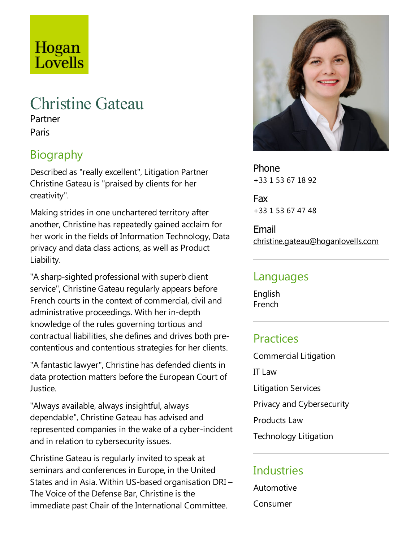# Hogan Lovells

# Christine Gateau

Partner Paris

## Biography

Described as "really excellent", Litigation Partner Christine Gateau is "praised by clients for her creativity".

Making strides in one unchartered territory after another, Christine has repeatedly gained acclaim for her work in the fields of Information Technology, Data privacy and data class actions, as well as Product Liability.

"A sharp-sighted professional with superb client service", Christine Gateau regularly appears before French courts in the context of commercial, civil and administrative proceedings. With her in-depth knowledge of the rules governing tortious and contractual liabilities, she defines and drives both precontentious and contentious strategies for her clients.

"A fantastic lawyer", Christine has defended clients in data protection matters before the European Court of Justice.

"Always available, always insightful, always dependable", Christine Gateau has advised and represented companies in the wake of a cyber-incident and in relation to cybersecurity issues.

Christine Gateau is regularly invited to speak at seminars and conferences in Europe, in the United States and in Asia. Within US-based organisation DRI– The Voice of the Defense Bar, Christine is the immediate past Chair of the International Committee.



Phone +33 1 53 67 18 92

Fax +33 1 53 67 47 48

Email christine.gateau@hoganlovells.com

#### Languages

English French

#### Practices

Commercial Litigation IT Law Litigation Services Privacy and Cybersecurity Products Law Technology Litigation

#### **Industries**

Automotive

Consumer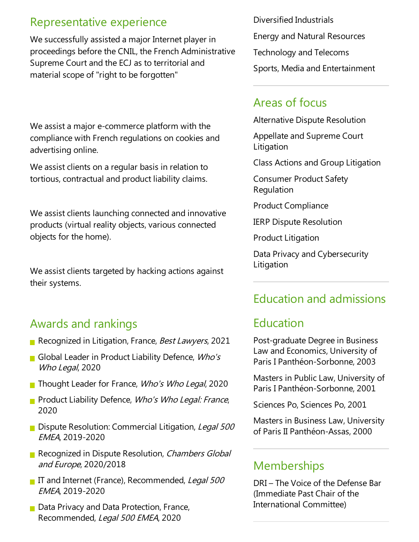#### Representative experience

We successfully assisted a major Internet player in proceedings before the CNIL, the French Administrative Supreme Court and the ECJ as to territorial and material scope of "right to be forgotten"

We assist a major e-commerce platform with the compliance with French regulations on cookies and advertising online.

We assist clients on a regular basis in relation to tortious, contractual and product liability claims.

We assist clients launching connected and innovative products (virtual reality objects, various connected objects for the home).

We assist clients targeted by hacking actions against their systems.

#### Awards and rankings

- Recognized in Litigation, France, Best Lawyers, 2021
- Global Leader in Product Liability Defence,  $Who's$ Who Legal, 2020
- Thought Leader for France, Who's Who Legal, 2020
- **Product Liability Defence, Who's Who Legal: France,** 2020
- Dispute Resolution: Commercial Litigation, Legal 500 EMEA, 2019-2020
- Recognized in Dispute Resolution, Chambers Global and Europe, 2020/2018
- If and Internet (France), Recommended, Legal 500 EMEA, 2019-2020
- $\blacksquare$  Data Privacy and Data Protection, France, Recommended, Legal 500 EMEA, 2020

Diversified Industrials Energy and Natural Resources Technology and Telecoms Sports, Media and Entertainment

#### Areas of focus

Alternative Dispute Resolution

Appellate and Supreme Court Litigation

Class Actions and Group Litigation

Consumer Product Safety Regulation

Product Compliance

IERP Dispute Resolution

**Product Litigation** 

Data Privacy and Cybersecurity **Litigation** 

### Education and admissions

### Education

Post-graduate Degree in Business Law and Economics, University of Paris I Panthéon-Sorbonne, 2003

Masters in Public Law, University of Paris I Panthéon-Sorbonne, 2001

Sciences Po, Sciences Po, 2001

Masters in Business Law, University of Paris II Panthéon-Assas, 2000

#### **Memberships**

DRI–The Voice of the Defense Bar (Immediate Past Chair of the International Committee)